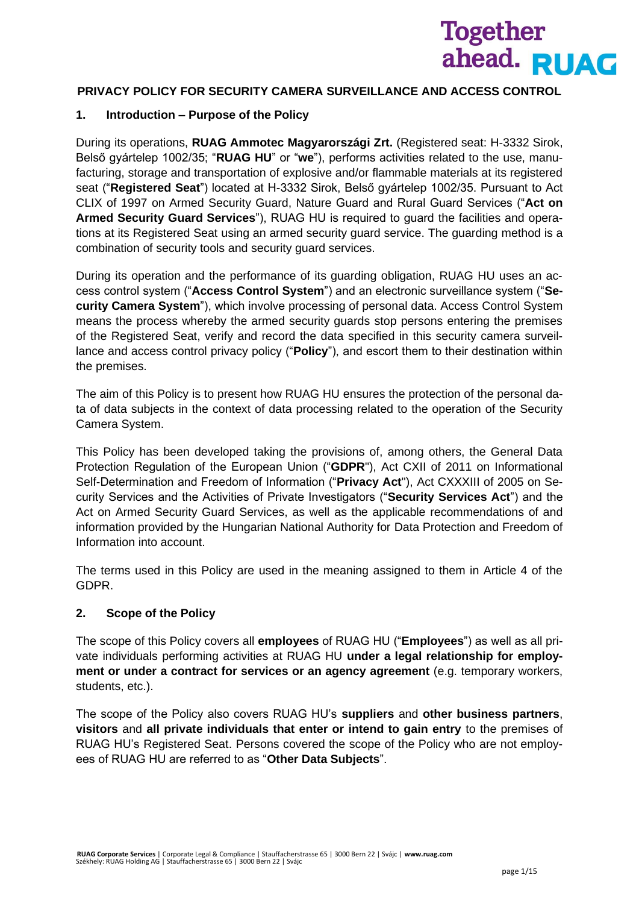### **PRIVACY POLICY FOR SECURITY CAMERA SURVEILLANCE AND ACCESS CONTROL**

**Together** 

ahead. RUAG

### **1. Introduction – Purpose of the Policy**

During its operations, **RUAG Ammotec Magyarországi Zrt.** (Registered seat: H-3332 Sirok, Belső gyártelep 1002/35; "**RUAG HU**" or "**we**"), performs activities related to the use, manufacturing, storage and transportation of explosive and/or flammable materials at its registered seat ("**Registered Seat**") located at H-3332 Sirok, Belső gyártelep 1002/35. Pursuant to Act CLIX of 1997 on Armed Security Guard, Nature Guard and Rural Guard Services ("**Act on Armed Security Guard Services**"), RUAG HU is required to guard the facilities and operations at its Registered Seat using an armed security guard service. The guarding method is a combination of security tools and security guard services.

During its operation and the performance of its guarding obligation, RUAG HU uses an access control system ("**Access Control System**") and an electronic surveillance system ("**Security Camera System**"), which involve processing of personal data. Access Control System means the process whereby the armed security guards stop persons entering the premises of the Registered Seat, verify and record the data specified in this security camera surveillance and access control privacy policy ("**Policy**"), and escort them to their destination within the premises.

The aim of this Policy is to present how RUAG HU ensures the protection of the personal data of data subjects in the context of data processing related to the operation of the Security Camera System.

This Policy has been developed taking the provisions of, among others, the General Data Protection Regulation of the European Union ("**GDPR**"), Act CXII of 2011 on Informational Self-Determination and Freedom of Information ("**Privacy Act**"), Act CXXXIII of 2005 on Security Services and the Activities of Private Investigators ("**Security Services Act**") and the Act on Armed Security Guard Services, as well as the applicable recommendations of and information provided by the Hungarian National Authority for Data Protection and Freedom of Information into account.

The terms used in this Policy are used in the meaning assigned to them in Article 4 of the GDPR.

### **2. Scope of the Policy**

The scope of this Policy covers all **employees** of RUAG HU ("**Employees**") as well as all private individuals performing activities at RUAG HU **under a legal relationship for employment or under a contract for services or an agency agreement** (e.g. temporary workers, students, etc.).

The scope of the Policy also covers RUAG HU's **suppliers** and **other business partners**, **visitors** and **all private individuals that enter or intend to gain entry** to the premises of RUAG HU's Registered Seat. Persons covered the scope of the Policy who are not employees of RUAG HU are referred to as "**Other Data Subjects**".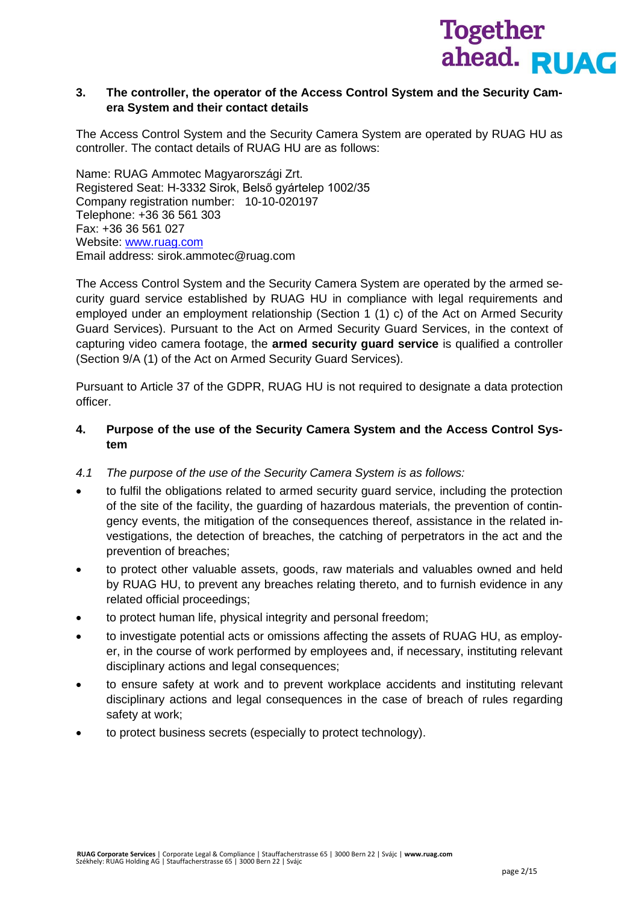

### **3. The controller, the operator of the Access Control System and the Security Camera System and their contact details**

The Access Control System and the Security Camera System are operated by RUAG HU as controller. The contact details of RUAG HU are as follows:

Name: RUAG Ammotec Magyarországi Zrt. Registered Seat: H-3332 Sirok, Belső gyártelep 1002/35 Company registration number: 10-10-020197 Telephone: +36 36 561 303 Fax: +36 36 561 027 Website: [www.ruag.com](http://www.ruag.com/) Email address: sirok.ammotec@ruag.com

The Access Control System and the Security Camera System are operated by the armed security guard service established by RUAG HU in compliance with legal requirements and employed under an employment relationship (Section 1 (1) c) of the Act on Armed Security Guard Services). Pursuant to the Act on Armed Security Guard Services, in the context of capturing video camera footage, the **armed security guard service** is qualified a controller (Section 9/A (1) of the Act on Armed Security Guard Services).

Pursuant to Article 37 of the GDPR, RUAG HU is not required to designate a data protection officer.

### **4. Purpose of the use of the Security Camera System and the Access Control System**

- *4.1 The purpose of the use of the Security Camera System is as follows:*
- to fulfil the obligations related to armed security guard service, including the protection of the site of the facility, the guarding of hazardous materials, the prevention of contingency events, the mitigation of the consequences thereof, assistance in the related investigations, the detection of breaches, the catching of perpetrators in the act and the prevention of breaches;
- to protect other valuable assets, goods, raw materials and valuables owned and held by RUAG HU, to prevent any breaches relating thereto, and to furnish evidence in any related official proceedings;
- to protect human life, physical integrity and personal freedom;
- to investigate potential acts or omissions affecting the assets of RUAG HU, as employer, in the course of work performed by employees and, if necessary, instituting relevant disciplinary actions and legal consequences;
- to ensure safety at work and to prevent workplace accidents and instituting relevant disciplinary actions and legal consequences in the case of breach of rules regarding safety at work;
- to protect business secrets (especially to protect technology).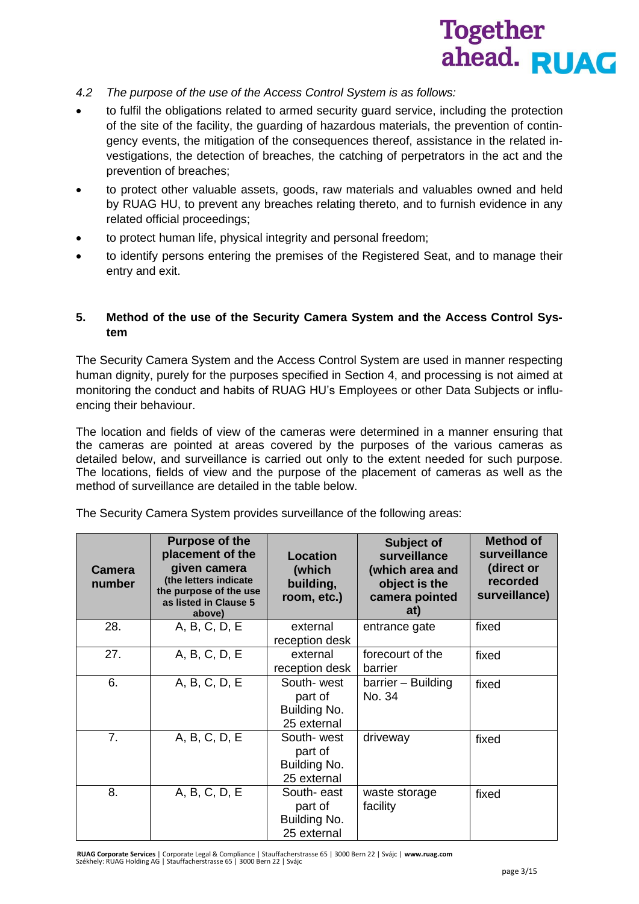- *4.2 The purpose of the use of the Access Control System is as follows:*
- to fulfil the obligations related to armed security guard service, including the protection of the site of the facility, the guarding of hazardous materials, the prevention of contingency events, the mitigation of the consequences thereof, assistance in the related investigations, the detection of breaches, the catching of perpetrators in the act and the prevention of breaches;
- to protect other valuable assets, goods, raw materials and valuables owned and held by RUAG HU, to prevent any breaches relating thereto, and to furnish evidence in any related official proceedings;
- to protect human life, physical integrity and personal freedom;
- to identify persons entering the premises of the Registered Seat, and to manage their entry and exit.

### **5. Method of the use of the Security Camera System and the Access Control System**

The Security Camera System and the Access Control System are used in manner respecting human dignity, purely for the purposes specified in Section 4, and processing is not aimed at monitoring the conduct and habits of RUAG HU's Employees or other Data Subjects or influencing their behaviour.

The location and fields of view of the cameras were determined in a manner ensuring that the cameras are pointed at areas covered by the purposes of the various cameras as detailed below, and surveillance is carried out only to the extent needed for such purpose. The locations, fields of view and the purpose of the placement of cameras as well as the method of surveillance are detailed in the table below.

| Camera<br>number | <b>Purpose of the</b><br>placement of the<br>given camera<br>(the letters indicate<br>the purpose of the use<br>as listed in Clause 5<br>above) | Location<br>(which<br>building,<br>room, etc.)       | <b>Subject of</b><br>surveillance<br>(which area and<br>object is the<br>camera pointed<br>at) | <b>Method of</b><br>surveillance<br>(direct or<br>recorded<br>surveillance) |
|------------------|-------------------------------------------------------------------------------------------------------------------------------------------------|------------------------------------------------------|------------------------------------------------------------------------------------------------|-----------------------------------------------------------------------------|
| 28.              | A, B, C, D, E                                                                                                                                   | external<br>reception desk                           | entrance gate                                                                                  | fixed                                                                       |
| 27.              | A, B, C, D, E                                                                                                                                   | external<br>reception desk                           | forecourt of the<br>barrier                                                                    | fixed                                                                       |
| 6.               | A, B, C, D, E                                                                                                                                   | South-west<br>part of<br>Building No.<br>25 external | barrier – Building<br>No. 34                                                                   | fixed                                                                       |
| 7 <sub>1</sub>   | A, B, C, D, E                                                                                                                                   | South-west<br>part of<br>Building No.<br>25 external | driveway                                                                                       | fixed                                                                       |
| 8.               | A, B, C, D, E                                                                                                                                   | South-east<br>part of<br>Building No.<br>25 external | waste storage<br>facility                                                                      | fixed                                                                       |

The Security Camera System provides surveillance of the following areas:

**RUAG Corporate Services** | Corporate Legal & Compliance | Stauffacherstrasse 65 | 3000 Bern 22 | Svájc | **www.ruag.com** Székhely: RUAG Holding AG | Stauffacherstrasse 65 | 3000 Bern 22 | Svájc

**Together** 

ahead. RUAG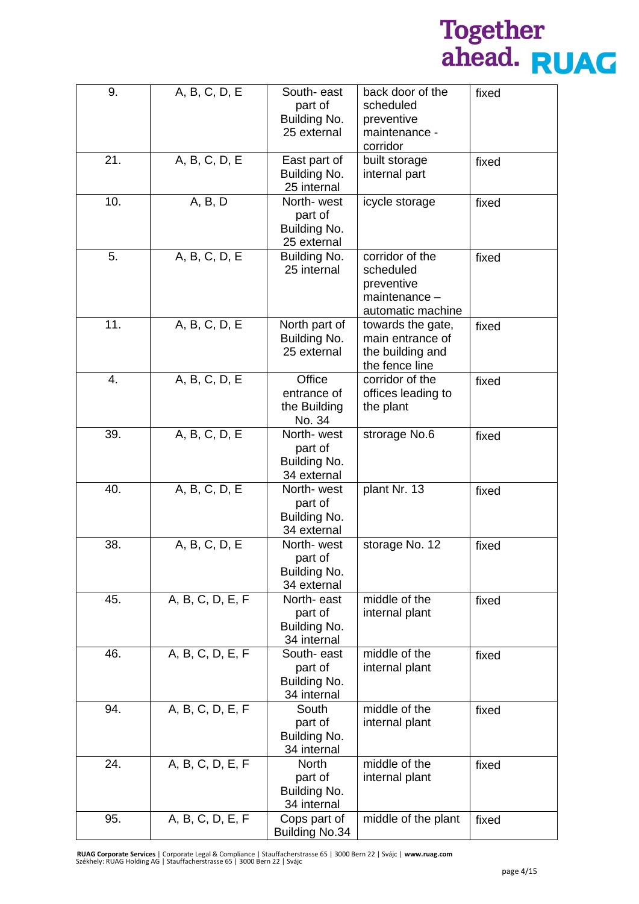| 9.               | A, B, C, D, E    | South-east<br>part of<br>Building No.<br>25 external   | back door of the<br>scheduled<br>preventive<br>maintenance -<br>corridor         | fixed |
|------------------|------------------|--------------------------------------------------------|----------------------------------------------------------------------------------|-------|
| 21.              | A, B, C, D, E    | East part of<br>Building No.<br>25 internal            | built storage<br>internal part                                                   | fixed |
| 10.              | A, B, D          | North-west<br>part of<br>Building No.<br>25 external   | icycle storage                                                                   | fixed |
| 5.               | A, B, C, D, E    | Building No.<br>25 internal                            | corridor of the<br>scheduled<br>preventive<br>maintenance -<br>automatic machine | fixed |
| 11.              | A, B, C, D, E    | North part of<br>Building No.<br>25 external           | towards the gate,<br>main entrance of<br>the building and<br>the fence line      | fixed |
| $\overline{4}$ . | A, B, C, D, E    | Office<br>entrance of<br>the Building<br>No. 34        | corridor of the<br>offices leading to<br>the plant                               | fixed |
| 39.              | A, B, C, D, E    | North-west<br>part of<br>Building No.<br>34 external   | strorage No.6                                                                    | fixed |
| 40.              | A, B, C, D, E    | North-west<br>part of<br>Building No.<br>34 external   | plant Nr. 13                                                                     | fixed |
| 38.              | A, B, C, D, E    | North-west<br>part of<br>Building No.<br>34 external   | storage No. 12                                                                   | fixed |
| 45.              | A, B, C, D, E, F | North-east<br>part of<br>Building No.<br>34 internal   | middle of the<br>internal plant                                                  | fixed |
| 46.              | A, B, C, D, E, F | South-east<br>part of<br>Building No.<br>34 internal   | middle of the<br>internal plant                                                  | fixed |
| 94.              | A, B, C, D, E, F | South<br>part of<br>Building No.<br>34 internal        | middle of the<br>internal plant                                                  | fixed |
| 24.              | A, B, C, D, E, F | <b>North</b><br>part of<br>Building No.<br>34 internal | middle of the<br>internal plant                                                  | fixed |
| 95.              | A, B, C, D, E, F | Cops part of<br><b>Building No.34</b>                  | middle of the plant                                                              | fixed |

**RUAG Corporate Services** | Corporate Legal & Compliance | Stauffacherstrasse 65 | 3000 Bern 22 | Svájc | **www.ruag.com** Székhely: RUAG Holding AG | Stauffacherstrasse 65 | 3000 Bern 22 | Svájc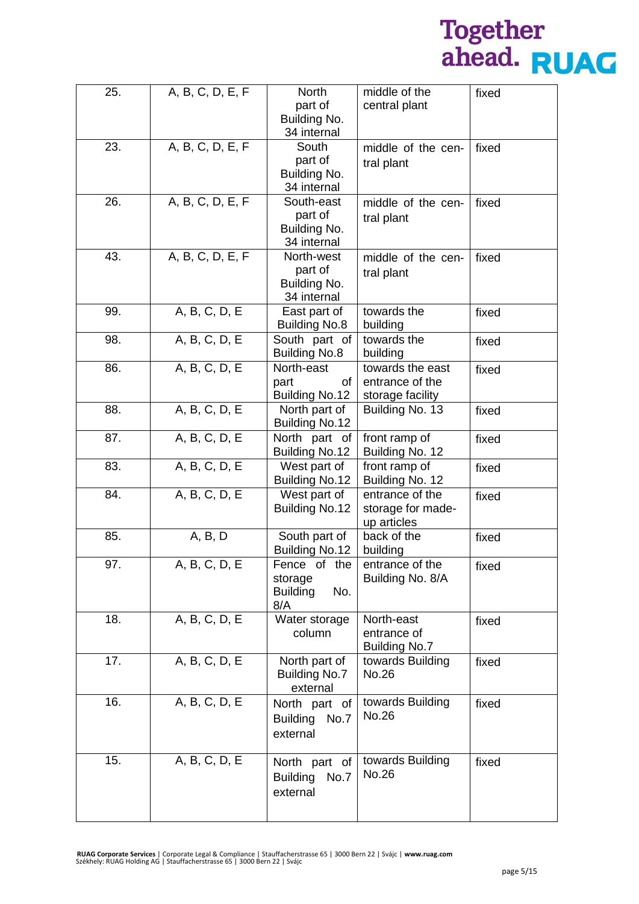| 25. | A, B, C, D, E, F | <b>North</b><br>part of<br>Building No.<br>34 internal   | middle of the<br>central plant                          | fixed |
|-----|------------------|----------------------------------------------------------|---------------------------------------------------------|-------|
| 23. | A, B, C, D, E, F | South<br>part of<br>Building No.<br>34 internal          | middle of the cen-<br>tral plant                        | fixed |
| 26. | A, B, C, D, E, F | South-east<br>part of<br>Building No.<br>34 internal     | middle of the cen-<br>tral plant                        | fixed |
| 43. | A, B, C, D, E, F | North-west<br>part of<br>Building No.<br>34 internal     | middle of the cen-<br>tral plant                        | fixed |
| 99. | A, B, C, D, E    | East part of<br><b>Building No.8</b>                     | towards the<br>building                                 | fixed |
| 98. | A, B, C, D, E    | South part of<br><b>Building No.8</b>                    | towards the<br>building                                 | fixed |
| 86. | A, B, C, D, E    | North-east<br>part<br>of<br>Building No.12               | towards the east<br>entrance of the<br>storage facility | fixed |
| 88. | A, B, C, D, E    | North part of<br>Building No.12                          | Building No. 13                                         | fixed |
| 87. | A, B, C, D, E    | North part of<br><b>Building No.12</b>                   | front ramp of<br>Building No. 12                        | fixed |
| 83. | A, B, C, D, E    | West part of<br>Building No.12                           | front ramp of<br>Building No. 12                        | fixed |
| 84. | A, B, C, D, E    | West part of<br>Building No.12                           | entrance of the<br>storage for made-<br>up articles     | fixed |
| 85. | A, B, D          | South part of<br><b>Building No.12</b>                   | back of the<br>building                                 | fixed |
| 97. | A, B, C, D, E    | Fence of the<br>storage<br><b>Building</b><br>No.<br>8/A | entrance of the<br>Building No. 8/A                     | fixed |
| 18. | A, B, C, D, E    | Water storage<br>column                                  | North-east<br>entrance of<br><b>Building No.7</b>       | fixed |
| 17. | A, B, C, D, E    | North part of<br>Building No.7<br>external               | towards Building<br>No.26                               | fixed |
| 16. | A, B, C, D, E    | North part of<br><b>Building</b><br>No.7<br>external     | towards Building<br>No.26                               | fixed |
| 15. | A, B, C, D, E    | North part of<br><b>Building</b><br>No.7<br>external     | towards Building<br>No.26                               | fixed |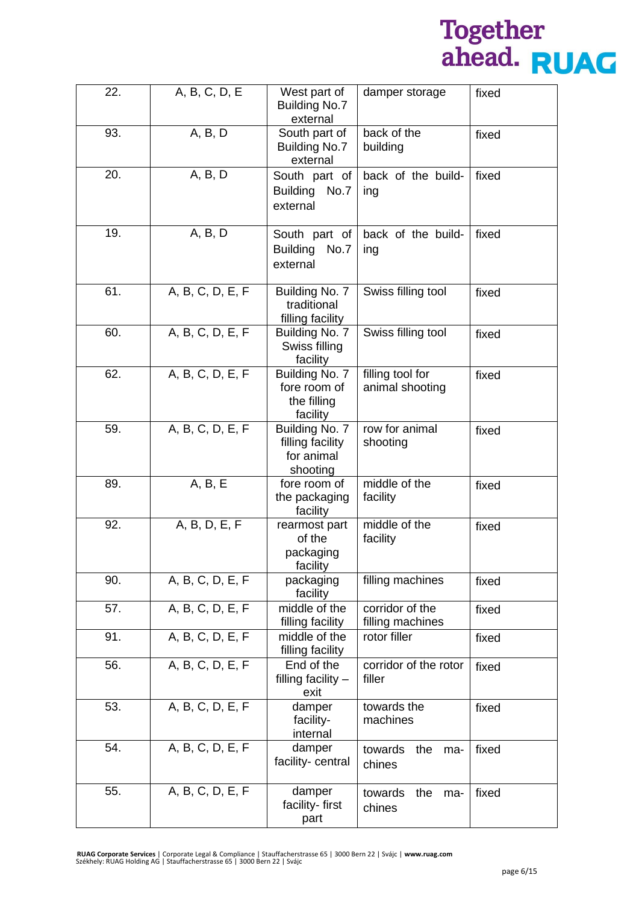| 22. | A, B, C, D, E    | West part of<br><b>Building No.7</b><br>external             | damper storage                      | fixed |
|-----|------------------|--------------------------------------------------------------|-------------------------------------|-------|
| 93. | A, B, D          | South part of<br><b>Building No.7</b><br>external            | back of the<br>building             | fixed |
| 20. | A, B, D          | South part of<br><b>Building</b><br>No.7<br>external         | back of the build-<br>ing           | fixed |
| 19. | A, B, D          | South part of<br><b>Building</b><br>No.7<br>external         | back of the build-<br>ing           | fixed |
| 61. | A, B, C, D, E, F | Building No. 7<br>traditional<br>filling facility            | Swiss filling tool                  | fixed |
| 60. | A, B, C, D, E, F | Building No. 7<br>Swiss filling<br>facility                  | Swiss filling tool                  | fixed |
| 62. | A, B, C, D, E, F | Building No. 7<br>fore room of<br>the filling<br>facility    | filling tool for<br>animal shooting | fixed |
| 59. | A, B, C, D, E, F | Building No. 7<br>filling facility<br>for animal<br>shooting | row for animal<br>shooting          | fixed |
| 89. | A, B, E          | fore room of<br>the packaging<br>facility                    | middle of the<br>facility           | fixed |
| 92. | A, B, D, E, F    | rearmost part<br>of the<br>packaging<br>facility             | middle of the<br>facility           | fixed |
| 90. | A, B, C, D, E, F | packaging<br>facility                                        | filling machines                    | fixed |
| 57. | A, B, C, D, E, F | middle of the<br>filling facility                            | corridor of the<br>filling machines | fixed |
| 91. | A, B, C, D, E, F | middle of the<br>filling facility                            | rotor filler                        | fixed |
| 56. | A, B, C, D, E, F | End of the<br>filling facility $-$<br>exit                   | corridor of the rotor<br>filler     | fixed |
| 53. | A, B, C, D, E, F | damper<br>facility-<br>internal                              | towards the<br>machines             | fixed |
| 54. | A, B, C, D, E, F | damper<br>facility- central                                  | towards<br>the<br>ma-<br>chines     | fixed |
| 55. | A, B, C, D, E, F | damper<br>facility-first<br>part                             | towards<br>the<br>ma-<br>chines     | fixed |

**RUAG Corporate Services** | Corporate Legal & Compliance | Stauffacherstrasse 65 | 3000 Bern 22 | Svájc | **www.ruag.com** Székhely: RUAG Holding AG | Stauffacherstrasse 65 | 3000 Bern 22 | Svájc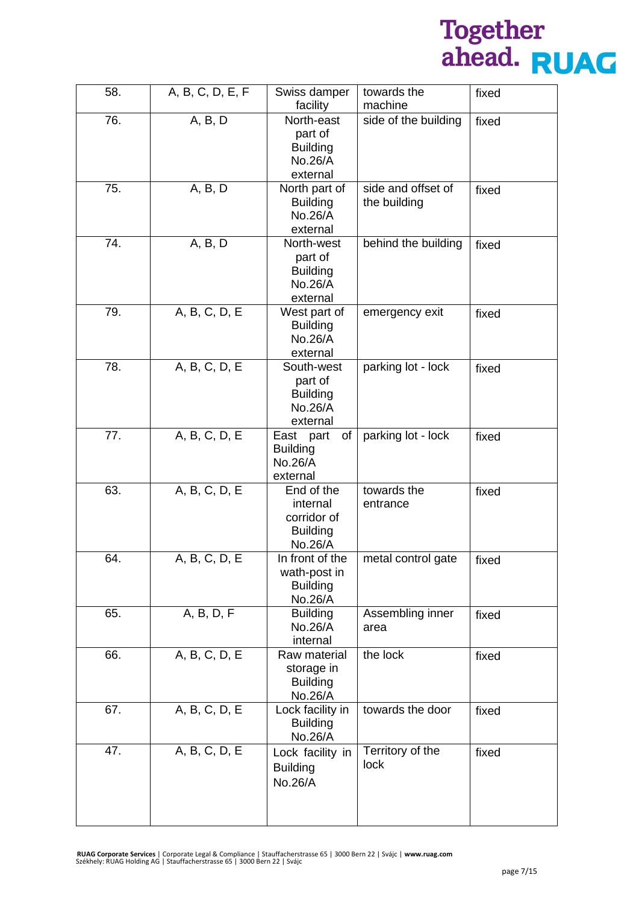| 58. | A, B, C, D, E, F | Swiss damper<br>facility                                            | towards the<br>machine             | fixed |
|-----|------------------|---------------------------------------------------------------------|------------------------------------|-------|
| 76. | A, B, D          | North-east<br>part of<br><b>Building</b><br>No.26/A<br>external     | side of the building               | fixed |
| 75. | A, B, D          | North part of<br><b>Building</b><br>No.26/A<br>external             | side and offset of<br>the building | fixed |
| 74. | A, B, D          | North-west<br>part of<br><b>Building</b><br>No.26/A<br>external     | behind the building                | fixed |
| 79. | A, B, C, D, E    | West part of<br><b>Building</b><br>No.26/A<br>external              | emergency exit                     | fixed |
| 78. | A, B, C, D, E    | South-west<br>part of<br><b>Building</b><br>No.26/A<br>external     | parking lot - lock                 | fixed |
| 77. | A, B, C, D, E    | East part<br>of<br><b>Building</b><br>No.26/A<br>external           | parking lot - lock                 | fixed |
| 63. | A, B, C, D, E    | End of the<br>internal<br>corridor of<br><b>Building</b><br>No.26/A | towards the<br>entrance            | fixed |
| 64. | A, B, C, D, E    | In front of the<br>wath-post in<br><b>Building</b><br>No.26/A       | metal control gate                 | fixed |
| 65. | A, B, D, F       | <b>Building</b><br>No.26/A<br>internal                              | Assembling inner<br>area           | fixed |
| 66. | A, B, C, D, E    | Raw material<br>storage in<br><b>Building</b><br>No.26/A            | the lock                           | fixed |
| 67. | A, B, C, D, E    | Lock facility in<br><b>Building</b><br>No.26/A                      | towards the door                   | fixed |
| 47. | A, B, C, D, E    | Lock facility in<br><b>Building</b><br>No.26/A                      | Territory of the<br>lock           | fixed |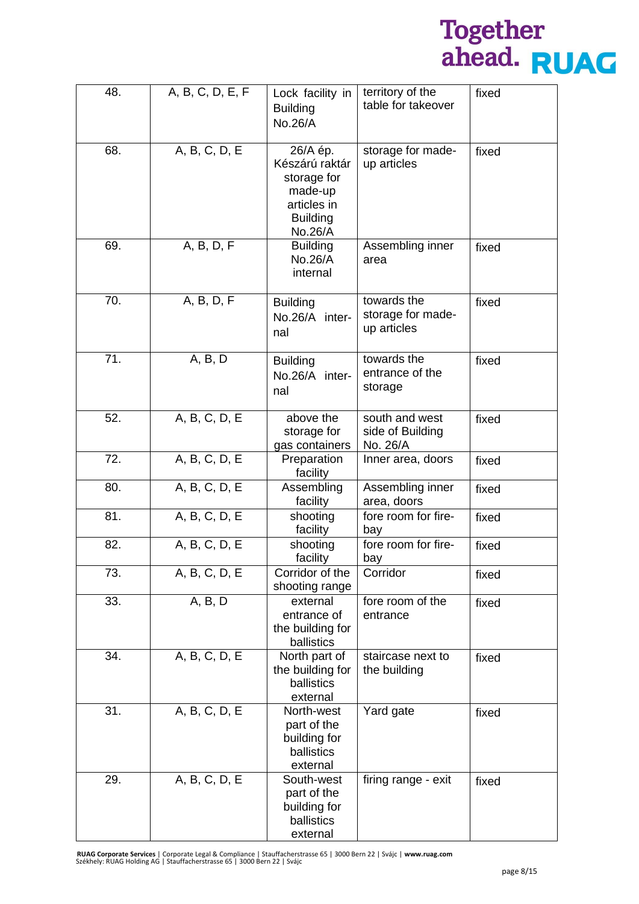| 48. | A, B, C, D, E, F | Lock facility in<br><b>Building</b><br>No.26/A                                                    | territory of the<br>table for takeover          | fixed |
|-----|------------------|---------------------------------------------------------------------------------------------------|-------------------------------------------------|-------|
| 68. | A, B, C, D, E    | 26/A ép.<br>Készárú raktár<br>storage for<br>made-up<br>articles in<br><b>Building</b><br>No.26/A | storage for made-<br>up articles                | fixed |
| 69. | A, B, D, F       | <b>Building</b><br>No.26/A<br>internal                                                            | Assembling inner<br>area                        | fixed |
| 70. | A, B, D, F       | <b>Building</b><br>No.26/A inter-<br>nal                                                          | towards the<br>storage for made-<br>up articles | fixed |
| 71. | A, B, D          | <b>Building</b><br>No.26/A inter-<br>nal                                                          | towards the<br>entrance of the<br>storage       | fixed |
| 52. | A, B, C, D, E    | above the<br>storage for<br>gas containers                                                        | south and west<br>side of Building<br>No. 26/A  | fixed |
| 72. | A, B, C, D, E    | Preparation<br>facility                                                                           | Inner area, doors                               | fixed |
| 80. | A, B, C, D, E    | Assembling<br>facility                                                                            | Assembling inner<br>area, doors                 | fixed |
| 81. | A, B, C, D, E    | shooting<br>facility                                                                              | fore room for fire-<br>bay                      | fixed |
| 82. | A, B, C, D, E    | shooting<br>facility                                                                              | fore room for fire-<br>bay                      | fixed |
| 73. | A, B, C, D, E    | Corridor of the<br>shooting range                                                                 | Corridor                                        | fixed |
| 33. | A, B, D          | external<br>entrance of<br>the building for<br>ballistics                                         | fore room of the<br>entrance                    | fixed |
| 34. | A, B, C, D, E    | North part of<br>the building for<br>ballistics<br>external                                       | staircase next to<br>the building               | fixed |
| 31. | A, B, C, D, E    | North-west<br>part of the<br>building for<br>ballistics<br>external                               | Yard gate                                       | fixed |
| 29. | A, B, C, D, E    | South-west<br>part of the<br>building for<br>ballistics<br>external                               | firing range - exit                             | fixed |

**RUAG Corporate Services** | Corporate Legal & Compliance | Stauffacherstrasse 65 | 3000 Bern 22 | Svájc | **www.ruag.com** Székhely: RUAG Holding AG | Stauffacherstrasse 65 | 3000 Bern 22 | Svájc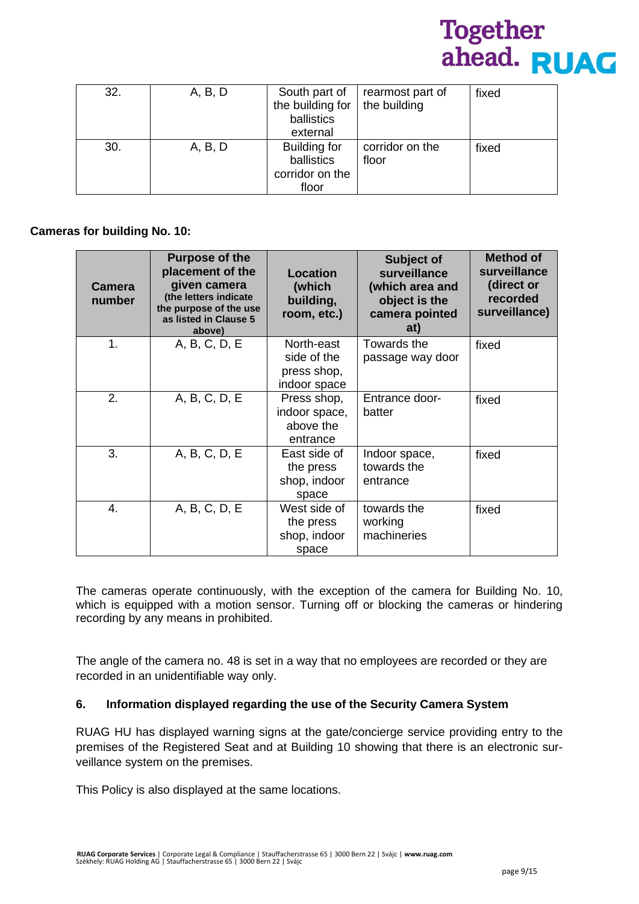| 32. | A, B, D | South part of<br>the building for<br>ballistics<br>external | rearmost part of<br>the building | fixed |
|-----|---------|-------------------------------------------------------------|----------------------------------|-------|
| 30. | A, B, D | Building for<br>ballistics<br>corridor on the<br>floor      | corridor on the<br>floor         | fixed |

### **Cameras for building No. 10:**

| <b>Camera</b><br>number | <b>Purpose of the</b><br>placement of the<br>given camera<br>(the letters indicate<br>the purpose of the use<br>as listed in Clause 5<br>above) | Location<br>(which<br>building,<br>room, etc.)           | Subject of<br>surveillance<br>(which area and<br>object is the<br>camera pointed<br>at) | <b>Method of</b><br>surveillance<br>(direct or<br>recorded<br>surveillance) |
|-------------------------|-------------------------------------------------------------------------------------------------------------------------------------------------|----------------------------------------------------------|-----------------------------------------------------------------------------------------|-----------------------------------------------------------------------------|
| 1.                      | A, B, C, D, E                                                                                                                                   | North-east<br>side of the<br>press shop,<br>indoor space | Towards the<br>passage way door                                                         | fixed                                                                       |
| 2.                      | A, B, C, D, E                                                                                                                                   | Press shop,<br>indoor space,<br>above the<br>entrance    | Entrance door-<br>batter                                                                | fixed                                                                       |
| 3.                      | A, B, C, D, E                                                                                                                                   | East side of<br>the press<br>shop, indoor<br>space       | Indoor space,<br>towards the<br>entrance                                                | fixed                                                                       |
| 4.                      | A, B, C, D, E                                                                                                                                   | West side of<br>the press<br>shop, indoor<br>space       | towards the<br>working<br>machineries                                                   | fixed                                                                       |

The cameras operate continuously, with the exception of the camera for Building No. 10, which is equipped with a motion sensor. Turning off or blocking the cameras or hindering recording by any means in prohibited.

The angle of the camera no. 48 is set in a way that no employees are recorded or they are recorded in an unidentifiable way only.

### **6. Information displayed regarding the use of the Security Camera System**

RUAG HU has displayed warning signs at the gate/concierge service providing entry to the premises of the Registered Seat and at Building 10 showing that there is an electronic surveillance system on the premises.

This Policy is also displayed at the same locations.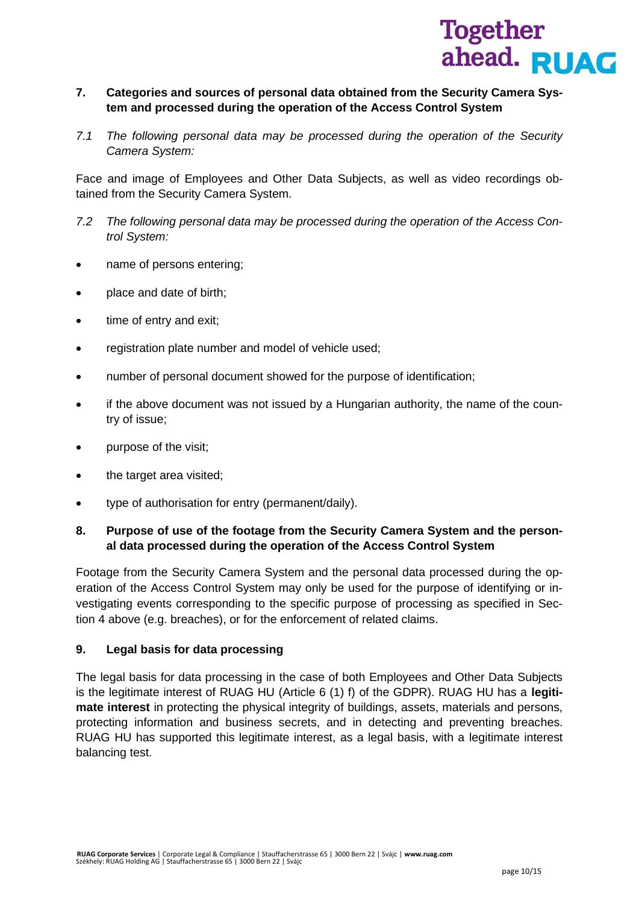### **7. Categories and sources of personal data obtained from the Security Camera System and processed during the operation of the Access Control System**

*7.1 The following personal data may be processed during the operation of the Security Camera System:* 

Face and image of Employees and Other Data Subjects, as well as video recordings obtained from the Security Camera System.

- *7.2 The following personal data may be processed during the operation of the Access Control System:*
- name of persons entering;
- place and date of birth;
- time of entry and exit;
- registration plate number and model of vehicle used;
- number of personal document showed for the purpose of identification;
- if the above document was not issued by a Hungarian authority, the name of the country of issue;
- purpose of the visit;
- the target area visited;
- type of authorisation for entry (permanent/daily).

### **8. Purpose of use of the footage from the Security Camera System and the personal data processed during the operation of the Access Control System**

Footage from the Security Camera System and the personal data processed during the operation of the Access Control System may only be used for the purpose of identifying or investigating events corresponding to the specific purpose of processing as specified in Section 4 above (e.g. breaches), or for the enforcement of related claims.

### **9. Legal basis for data processing**

The legal basis for data processing in the case of both Employees and Other Data Subjects is the legitimate interest of RUAG HU (Article 6 (1) f) of the GDPR). RUAG HU has a **legitimate interest** in protecting the physical integrity of buildings, assets, materials and persons, protecting information and business secrets, and in detecting and preventing breaches. RUAG HU has supported this legitimate interest, as a legal basis, with a legitimate interest balancing test.

Together<br>ahead. RUAC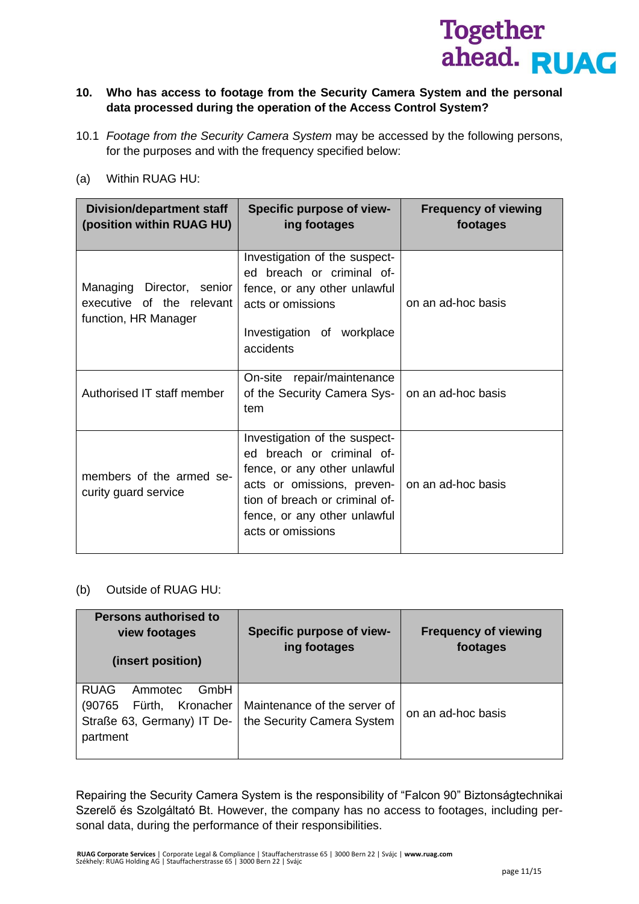

### **10. Who has access to footage from the Security Camera System and the personal data processed during the operation of the Access Control System?**

- 10.1 *Footage from the Security Camera System* may be accessed by the following persons, for the purposes and with the frequency specified below:
- (a) Within RUAG HU:

| <b>Division/department staff</b><br>(position within RUAG HU)                  | Specific purpose of view-<br>ing footages                                                                                                                                                                       | <b>Frequency of viewing</b><br>footages |
|--------------------------------------------------------------------------------|-----------------------------------------------------------------------------------------------------------------------------------------------------------------------------------------------------------------|-----------------------------------------|
| Managing Director, senior<br>executive of the relevant<br>function, HR Manager | Investigation of the suspect-<br>ed breach or criminal of-<br>fence, or any other unlawful<br>acts or omissions<br>Investigation of workplace<br>accidents                                                      | on an ad-hoc basis                      |
| Authorised IT staff member                                                     | repair/maintenance<br>On-site<br>of the Security Camera Sys-<br>tem                                                                                                                                             | on an ad-hoc basis                      |
| members of the armed se-<br>curity guard service                               | Investigation of the suspect-<br>ed breach or criminal of-<br>fence, or any other unlawful<br>acts or omissions, preven-<br>tion of breach or criminal of-<br>fence, or any other unlawful<br>acts or omissions | on an ad-hoc basis                      |

### (b) Outside of RUAG HU:

| <b>Persons authorised to</b><br>view footages<br>(insert position)                                         | Specific purpose of view-<br>ing footages                  | <b>Frequency of viewing</b><br>footages |
|------------------------------------------------------------------------------------------------------------|------------------------------------------------------------|-----------------------------------------|
| <b>RUAG</b><br>GmbH<br>Ammotec<br>(90765)<br>Kronacher<br>Fürth,<br>Straße 63, Germany) IT De-<br>partment | Maintenance of the server of<br>the Security Camera System | on an ad-hoc basis                      |

Repairing the Security Camera System is the responsibility of "Falcon 90" Biztonságtechnikai Szerelő és Szolgáltató Bt. However, the company has no access to footages, including personal data, during the performance of their responsibilities.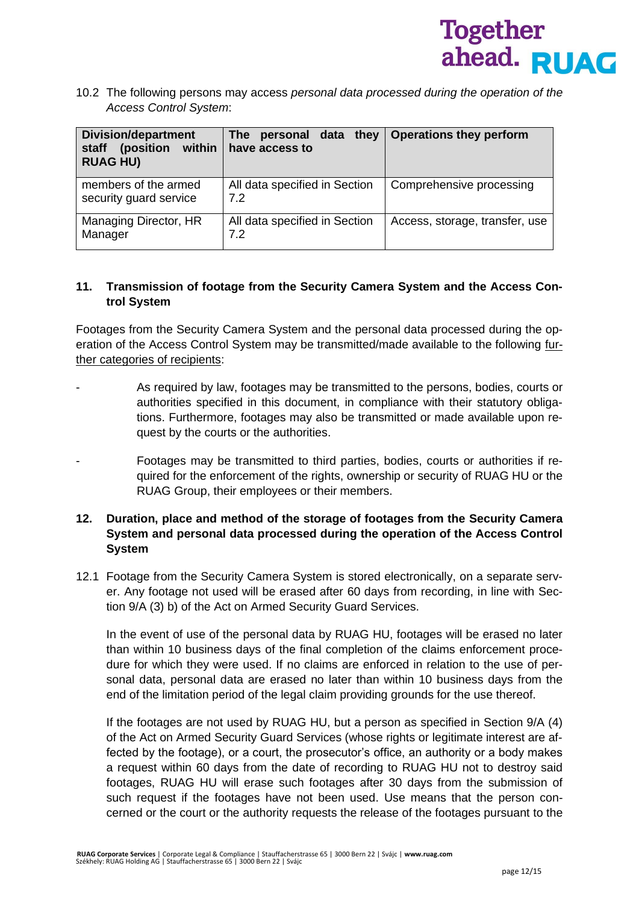

10.2 The following persons may access *personal data processed during the operation of the Access Control System*:

| <b>Division/department</b><br>(position<br>within<br>staff<br><b>RUAG HU)</b> | personal data they<br>The<br>have access to | <b>Operations they perform</b> |
|-------------------------------------------------------------------------------|---------------------------------------------|--------------------------------|
| members of the armed<br>security guard service                                | All data specified in Section<br>7.2        | Comprehensive processing       |
| Managing Director, HR<br>Manager                                              | All data specified in Section<br>7.2        | Access, storage, transfer, use |

### **11. Transmission of footage from the Security Camera System and the Access Control System**

Footages from the Security Camera System and the personal data processed during the operation of the Access Control System may be transmitted/made available to the following further categories of recipients:

- As required by law, footages may be transmitted to the persons, bodies, courts or authorities specified in this document, in compliance with their statutory obligations. Furthermore, footages may also be transmitted or made available upon request by the courts or the authorities.
- Footages may be transmitted to third parties, bodies, courts or authorities if required for the enforcement of the rights, ownership or security of RUAG HU or the RUAG Group, their employees or their members.

### **12. Duration, place and method of the storage of footages from the Security Camera System and personal data processed during the operation of the Access Control System**

12.1 Footage from the Security Camera System is stored electronically, on a separate server. Any footage not used will be erased after 60 days from recording, in line with Section 9/A (3) b) of the Act on Armed Security Guard Services.

In the event of use of the personal data by RUAG HU, footages will be erased no later than within 10 business days of the final completion of the claims enforcement procedure for which they were used. If no claims are enforced in relation to the use of personal data, personal data are erased no later than within 10 business days from the end of the limitation period of the legal claim providing grounds for the use thereof.

If the footages are not used by RUAG HU, but a person as specified in Section 9/A (4) of the Act on Armed Security Guard Services (whose rights or legitimate interest are affected by the footage), or a court, the prosecutor's office, an authority or a body makes a request within 60 days from the date of recording to RUAG HU not to destroy said footages, RUAG HU will erase such footages after 30 days from the submission of such request if the footages have not been used. Use means that the person concerned or the court or the authority requests the release of the footages pursuant to the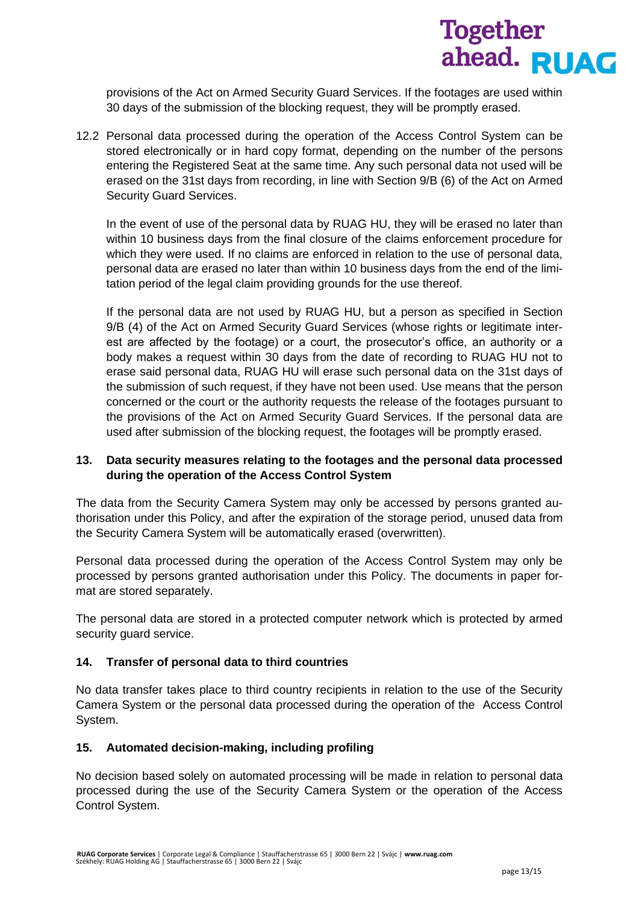provisions of the Act on Armed Security Guard Services. If the footages are used within 30 days of the submission of the blocking request, they will be promptly erased.

12.2 Personal data processed during the operation of the Access Control System can be stored electronically or in hard copy format, depending on the number of the persons entering the Registered Seat at the same time. Any such personal data not used will be erased on the 31st days from recording, in line with Section 9/B (6) of the Act on Armed Security Guard Services.

In the event of use of the personal data by RUAG HU, they will be erased no later than within 10 business days from the final closure of the claims enforcement procedure for which they were used. If no claims are enforced in relation to the use of personal data, personal data are erased no later than within 10 business days from the end of the limitation period of the legal claim providing grounds for the use thereof.

If the personal data are not used by RUAG HU, but a person as specified in Section 9/B (4) of the Act on Armed Security Guard Services (whose rights or legitimate interest are affected by the footage) or a court, the prosecutor's office, an authority or a body makes a request within 30 days from the date of recording to RUAG HU not to erase said personal data, RUAG HU will erase such personal data on the 31st days of the submission of such request, if they have not been used. Use means that the person concerned or the court or the authority requests the release of the footages pursuant to the provisions of the Act on Armed Security Guard Services. If the personal data are used after submission of the blocking request, the footages will be promptly erased.

### **13. Data security measures relating to the footages and the personal data processed during the operation of the Access Control System**

The data from the Security Camera System may only be accessed by persons granted authorisation under this Policy, and after the expiration of the storage period, unused data from the Security Camera System will be automatically erased (overwritten).

Personal data processed during the operation of the Access Control System may only be processed by persons granted authorisation under this Policy. The documents in paper format are stored separately.

The personal data are stored in a protected computer network which is protected by armed security guard service.

### **14. Transfer of personal data to third countries**

No data transfer takes place to third country recipients in relation to the use of the Security Camera System or the personal data processed during the operation of the Access Control System.

### **15. Automated decision-making, including profiling**

No decision based solely on automated processing will be made in relation to personal data processed during the use of the Security Camera System or the operation of the Access Control System.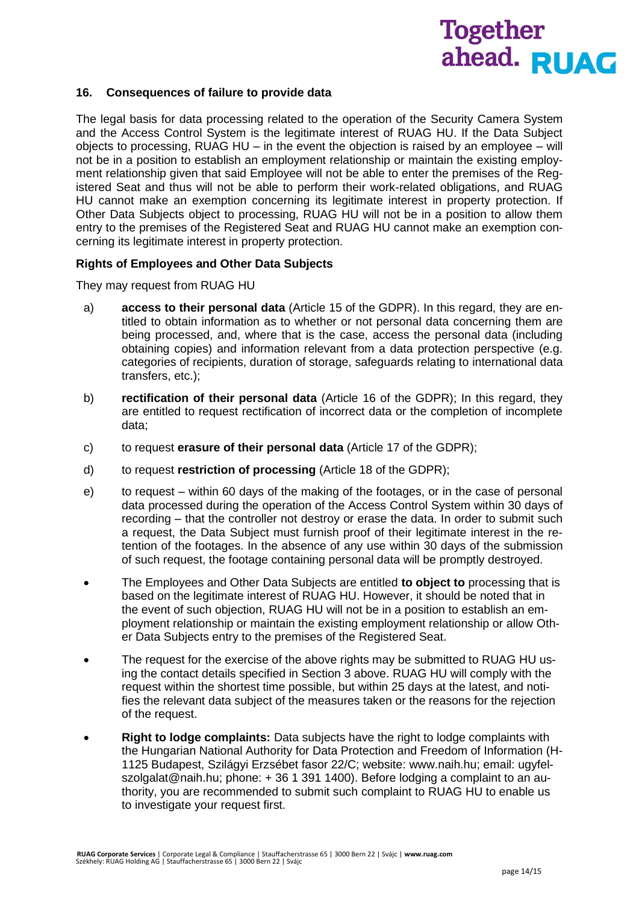### **Together** ahead. RUAG

### **16. Consequences of failure to provide data**

The legal basis for data processing related to the operation of the Security Camera System and the Access Control System is the legitimate interest of RUAG HU. If the Data Subject objects to processing, RUAG HU – in the event the objection is raised by an employee – will not be in a position to establish an employment relationship or maintain the existing employment relationship given that said Employee will not be able to enter the premises of the Registered Seat and thus will not be able to perform their work-related obligations, and RUAG HU cannot make an exemption concerning its legitimate interest in property protection. If Other Data Subjects object to processing, RUAG HU will not be in a position to allow them entry to the premises of the Registered Seat and RUAG HU cannot make an exemption concerning its legitimate interest in property protection.

### **Rights of Employees and Other Data Subjects**

They may request from RUAG HU

- a) **access to their personal data** (Article 15 of the GDPR). In this regard, they are entitled to obtain information as to whether or not personal data concerning them are being processed, and, where that is the case, access the personal data (including obtaining copies) and information relevant from a data protection perspective (e.g. categories of recipients, duration of storage, safeguards relating to international data transfers, etc.);
- b) **rectification of their personal data** (Article 16 of the GDPR); In this regard, they are entitled to request rectification of incorrect data or the completion of incomplete data;
- c) to request **erasure of their personal data** (Article 17 of the GDPR);
- d) to request **restriction of processing** (Article 18 of the GDPR);
- e) to request within 60 days of the making of the footages, or in the case of personal data processed during the operation of the Access Control System within 30 days of recording – that the controller not destroy or erase the data. In order to submit such a request, the Data Subject must furnish proof of their legitimate interest in the retention of the footages. In the absence of any use within 30 days of the submission of such request, the footage containing personal data will be promptly destroyed.
- The Employees and Other Data Subjects are entitled **to object to** processing that is based on the legitimate interest of RUAG HU. However, it should be noted that in the event of such objection, RUAG HU will not be in a position to establish an employment relationship or maintain the existing employment relationship or allow Other Data Subjects entry to the premises of the Registered Seat.
- The request for the exercise of the above rights may be submitted to RUAG HU using the contact details specified in Section 3 above. RUAG HU will comply with the request within the shortest time possible, but within 25 days at the latest, and notifies the relevant data subject of the measures taken or the reasons for the rejection of the request.
- **Right to lodge complaints:** Data subjects have the right to lodge complaints with the Hungarian National Authority for Data Protection and Freedom of Information (H-1125 Budapest, Szilágyi Erzsébet fasor 22/C; website: [www.naih.hu;](http://www.naih.hu/) email: [ugyfel](mailto:ugyfelszolgalat@naih.hu)[szolgalat@naih.hu;](mailto:ugyfelszolgalat@naih.hu) phone: + 36 1 391 1400). Before lodging a complaint to an authority, you are recommended to submit such complaint to RUAG HU to enable us to investigate your request first.